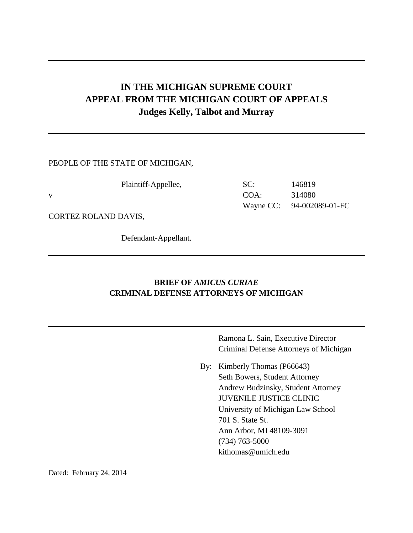# **IN THE MICHIGAN SUPREME COURT APPEAL FROM THE MICHIGAN COURT OF APPEALS Judges Kelly, Talbot and Murray**

### PEOPLE OF THE STATE OF MICHIGAN,

| Plaintiff-Appellee, | SC:     | 146819                    |
|---------------------|---------|---------------------------|
|                     | $COA$ : | 314080                    |
|                     |         | Wayne CC: 94-002089-01-FC |

CORTEZ ROLAND DAVIS,

Defendant-Appellant.

### **BRIEF OF** *AMICUS CURIAE* **CRIMINAL DEFENSE ATTORNEYS OF MICHIGAN**

Ramona L. Sain, Executive Director Criminal Defense Attorneys of Michigan

By: Kimberly Thomas (P66643) Seth Bowers, Student Attorney Andrew Budzinsky, Student Attorney JUVENILE JUSTICE CLINIC University of Michigan Law School 701 S. State St. Ann Arbor, MI 48109-3091 (734) 763-5000 kithomas@umich.edu

Dated: February 24, 2014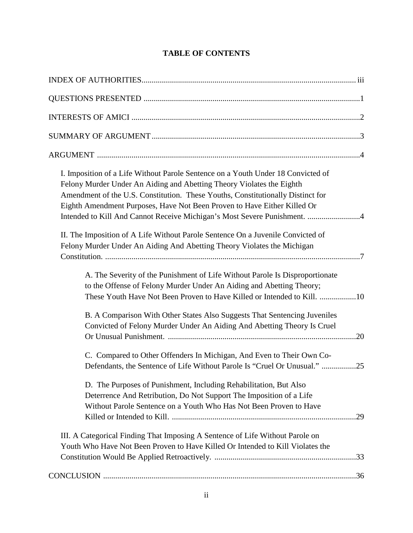# **TABLE OF CONTENTS**

| I. Imposition of a Life Without Parole Sentence on a Youth Under 18 Convicted of<br>Felony Murder Under An Aiding and Abetting Theory Violates the Eighth<br>Amendment of the U.S. Constitution. These Youths, Constitutionally Distinct for<br>Eighth Amendment Purposes, Have Not Been Proven to Have Either Killed Or<br>Intended to Kill And Cannot Receive Michigan's Most Severe Punishment. 4 |  |
|------------------------------------------------------------------------------------------------------------------------------------------------------------------------------------------------------------------------------------------------------------------------------------------------------------------------------------------------------------------------------------------------------|--|
| II. The Imposition of A Life Without Parole Sentence On a Juvenile Convicted of<br>Felony Murder Under An Aiding And Abetting Theory Violates the Michigan                                                                                                                                                                                                                                           |  |
| A. The Severity of the Punishment of Life Without Parole Is Disproportionate<br>to the Offense of Felony Murder Under An Aiding and Abetting Theory;                                                                                                                                                                                                                                                 |  |
| B. A Comparison With Other States Also Suggests That Sentencing Juveniles<br>Convicted of Felony Murder Under An Aiding And Abetting Theory Is Cruel                                                                                                                                                                                                                                                 |  |
| C. Compared to Other Offenders In Michigan, And Even to Their Own Co-<br>Defendants, the Sentence of Life Without Parole Is "Cruel Or Unusual." 25                                                                                                                                                                                                                                                   |  |
| D. The Purposes of Punishment, Including Rehabilitation, But Also<br>Deterrence And Retribution, Do Not Support The Imposition of a Life<br>Without Parole Sentence on a Youth Who Has Not Been Proven to Have                                                                                                                                                                                       |  |
| III. A Categorical Finding That Imposing A Sentence of Life Without Parole on<br>Youth Who Have Not Been Proven to Have Killed Or Intended to Kill Violates the                                                                                                                                                                                                                                      |  |
|                                                                                                                                                                                                                                                                                                                                                                                                      |  |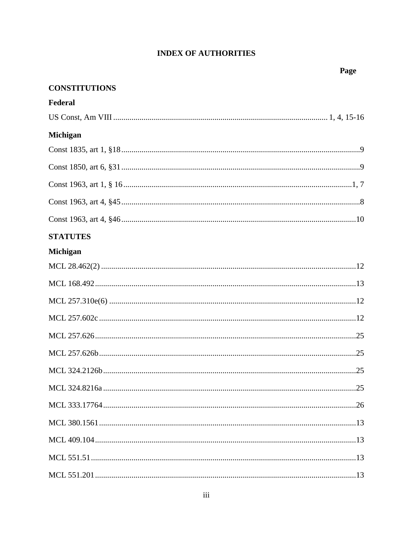# **INDEX OF AUTHORITIES**

| <b>CONSTITUTIONS</b> |  |
|----------------------|--|
| Federal              |  |
|                      |  |
| Michigan             |  |
|                      |  |
|                      |  |
|                      |  |
|                      |  |
|                      |  |
| <b>STATUTES</b>      |  |
| <b>Michigan</b>      |  |
|                      |  |
|                      |  |
|                      |  |
|                      |  |
|                      |  |
|                      |  |
|                      |  |
|                      |  |
|                      |  |
|                      |  |
|                      |  |
|                      |  |
|                      |  |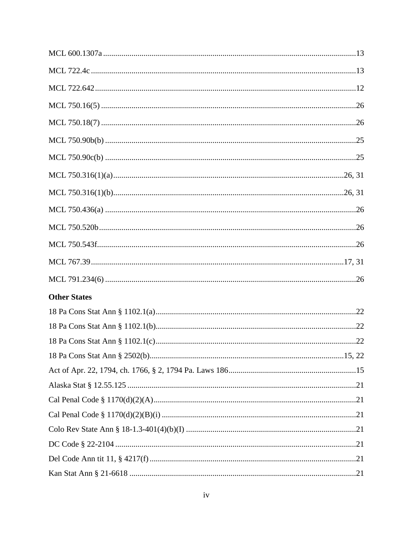| <b>Other States</b> |  |
|---------------------|--|
|                     |  |
|                     |  |
|                     |  |
|                     |  |
|                     |  |
|                     |  |
|                     |  |
|                     |  |
|                     |  |
|                     |  |
|                     |  |
|                     |  |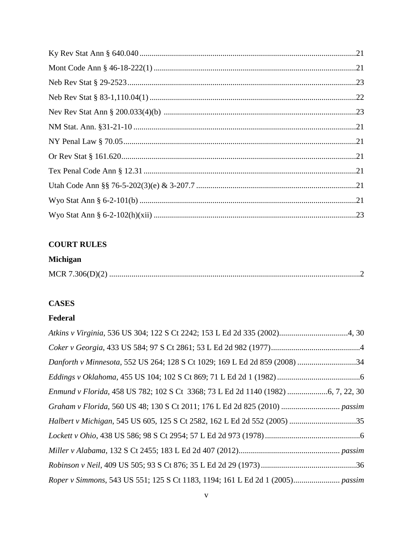## **COURT RULES**

### **Michigan**

|--|

# **CASES**

### **Federal**

| Danforth v Minnesota, 552 US 264; 128 S Ct 1029; 169 L Ed 2d 859 (2008) 34    |
|-------------------------------------------------------------------------------|
|                                                                               |
|                                                                               |
|                                                                               |
|                                                                               |
|                                                                               |
|                                                                               |
|                                                                               |
| Roper v Simmons, 543 US 551; 125 S Ct 1183, 1194; 161 L Ed 2d 1 (2005) passim |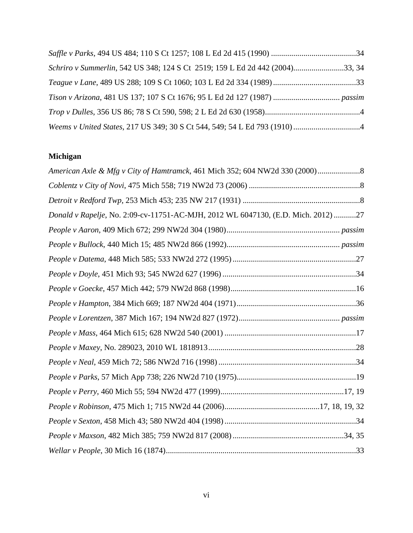| Schriro v Summerlin, 542 US 348; 124 S Ct 2519; 159 L Ed 2d 442 (2004)33, 34 |  |
|------------------------------------------------------------------------------|--|
|                                                                              |  |
|                                                                              |  |
|                                                                              |  |
|                                                                              |  |

# **Michigan**

| Donald v Rapelje, No. 2:09-cv-11751-AC-MJH, 2012 WL 6047130, (E.D. Mich. 2012) 27 |
|-----------------------------------------------------------------------------------|
|                                                                                   |
|                                                                                   |
|                                                                                   |
|                                                                                   |
|                                                                                   |
|                                                                                   |
|                                                                                   |
|                                                                                   |
|                                                                                   |
|                                                                                   |
|                                                                                   |
|                                                                                   |
|                                                                                   |
|                                                                                   |
|                                                                                   |
|                                                                                   |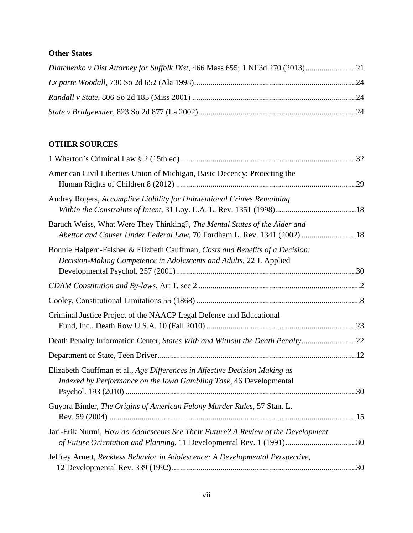# **Other States**

| Diatchenko v Dist Attorney for Suffolk Dist, 466 Mass 655; 1 NE3d 270 (2013) |  |
|------------------------------------------------------------------------------|--|
|                                                                              |  |
|                                                                              |  |
|                                                                              |  |

# **OTHER SOURCES**

| American Civil Liberties Union of Michigan, Basic Decency: Protecting the                                                                                 |  |
|-----------------------------------------------------------------------------------------------------------------------------------------------------------|--|
| Audrey Rogers, Accomplice Liability for Unintentional Crimes Remaining                                                                                    |  |
| Baruch Weiss, What Were They Thinking?, The Mental States of the Aider and<br>Abettor and Causer Under Federal Law, 70 Fordham L. Rev. 1341 (2002) 18     |  |
| Bonnie Halpern-Felsher & Elizbeth Cauffman, Costs and Benefits of a Decision:<br>Decision-Making Competence in Adolescents and Adults, 22 J. Applied      |  |
|                                                                                                                                                           |  |
|                                                                                                                                                           |  |
| Criminal Justice Project of the NAACP Legal Defense and Educational                                                                                       |  |
| Death Penalty Information Center, States With and Without the Death Penalty22                                                                             |  |
|                                                                                                                                                           |  |
| Elizabeth Cauffman et al., Age Differences in Affective Decision Making as<br>Indexed by Performance on the Iowa Gambling Task, 46 Developmental          |  |
| Guyora Binder, The Origins of American Felony Murder Rules, 57 Stan. L.                                                                                   |  |
| Jari-Erik Nurmi, How do Adolescents See Their Future? A Review of the Development<br>of Future Orientation and Planning, 11 Developmental Rev. 1 (1991)30 |  |
| Jeffrey Arnett, Reckless Behavior in Adolescence: A Developmental Perspective,                                                                            |  |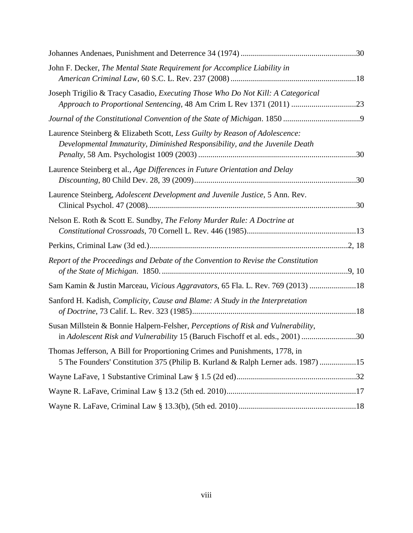| John F. Decker, The Mental State Requirement for Accomplice Liability in                                                                                           |  |
|--------------------------------------------------------------------------------------------------------------------------------------------------------------------|--|
| Joseph Trigilio & Tracy Casadio, Executing Those Who Do Not Kill: A Categorical<br>Approach to Proportional Sentencing, 48 Am Crim L Rev 1371 (2011) 23            |  |
|                                                                                                                                                                    |  |
| Laurence Steinberg & Elizabeth Scott, Less Guilty by Reason of Adolescence:<br>Developmental Immaturity, Diminished Responsibility, and the Juvenile Death         |  |
| Laurence Steinberg et al., Age Differences in Future Orientation and Delay                                                                                         |  |
| Laurence Steinberg, Adolescent Development and Juvenile Justice, 5 Ann. Rev.                                                                                       |  |
| Nelson E. Roth & Scott E. Sundby, The Felony Murder Rule: A Doctrine at                                                                                            |  |
|                                                                                                                                                                    |  |
| Report of the Proceedings and Debate of the Convention to Revise the Constitution                                                                                  |  |
| Sam Kamin & Justin Marceau, Vicious Aggravators, 65 Fla. L. Rev. 769 (2013) 18                                                                                     |  |
| Sanford H. Kadish, Complicity, Cause and Blame: A Study in the Interpretation                                                                                      |  |
| Susan Millstein & Bonnie Halpern-Felsher, Perceptions of Risk and Vulnerability,<br>in Adolescent Risk and Vulnerability 15 (Baruch Fischoff et al. eds., 2001) 30 |  |
| Thomas Jefferson, A Bill for Proportioning Crimes and Punishments, 1778, in<br>5 The Founders' Constitution 375 (Philip B. Kurland & Ralph Lerner ads. 1987) 15    |  |
|                                                                                                                                                                    |  |
|                                                                                                                                                                    |  |
|                                                                                                                                                                    |  |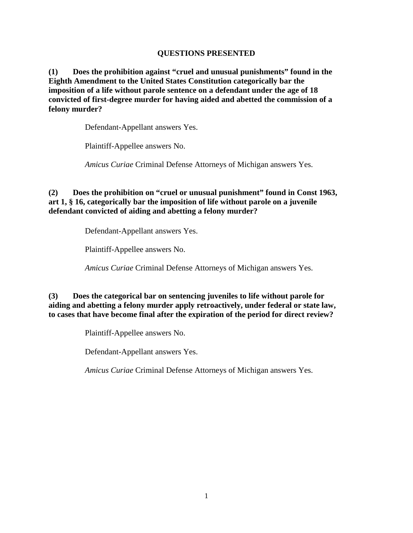### **QUESTIONS PRESENTED**

**(1) Does the prohibition against "cruel and unusual punishments" found in the Eighth Amendment to the United States Constitution categorically bar the imposition of a life without parole sentence on a defendant under the age of 18 convicted of first-degree murder for having aided and abetted the commission of a felony murder?** 

Defendant-Appellant answers Yes.

Plaintiff-Appellee answers No.

*Amicus Curiae* Criminal Defense Attorneys of Michigan answers Yes.

### **(2) Does the prohibition on "cruel or unusual punishment" found in Const 1963, art 1, § 16, categorically bar the imposition of life without parole on a juvenile defendant convicted of aiding and abetting a felony murder?**

Defendant-Appellant answers Yes.

Plaintiff-Appellee answers No.

*Amicus Curiae* Criminal Defense Attorneys of Michigan answers Yes.

**(3) Does the categorical bar on sentencing juveniles to life without parole for aiding and abetting a felony murder apply retroactively, under federal or state law, to cases that have become final after the expiration of the period for direct review?**

Plaintiff-Appellee answers No.

Defendant-Appellant answers Yes.

*Amicus Curiae* Criminal Defense Attorneys of Michigan answers Yes.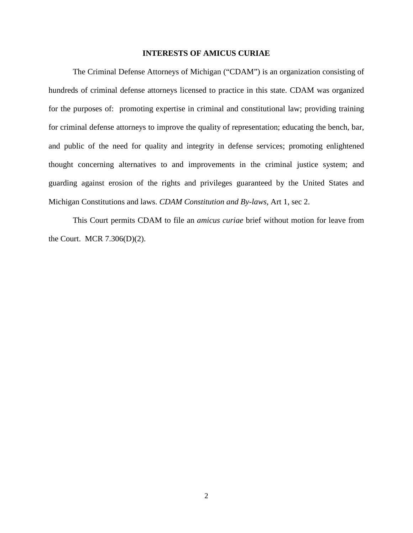#### **INTERESTS OF AMICUS CURIAE**

The Criminal Defense Attorneys of Michigan ("CDAM") is an organization consisting of hundreds of criminal defense attorneys licensed to practice in this state. CDAM was organized for the purposes of: promoting expertise in criminal and constitutional law; providing training for criminal defense attorneys to improve the quality of representation; educating the bench, bar, and public of the need for quality and integrity in defense services; promoting enlightened thought concerning alternatives to and improvements in the criminal justice system; and guarding against erosion of the rights and privileges guaranteed by the United States and Michigan Constitutions and laws. *CDAM Constitution and By-laws,* Art 1, sec 2.

This Court permits CDAM to file an *amicus curiae* brief without motion for leave from the Court. MCR 7.306(D)(2).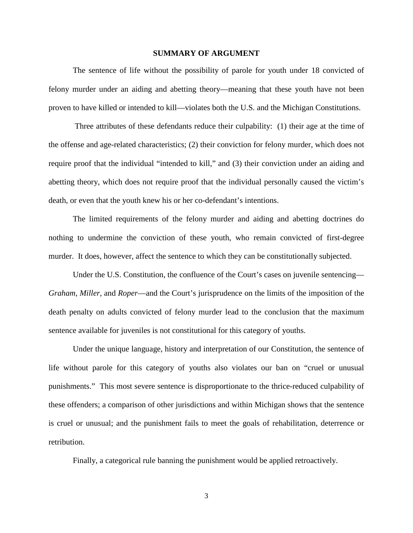#### **SUMMARY OF ARGUMENT**

The sentence of life without the possibility of parole for youth under 18 convicted of felony murder under an aiding and abetting theory—meaning that these youth have not been proven to have killed or intended to kill—violates both the U.S. and the Michigan Constitutions.

Three attributes of these defendants reduce their culpability: (1) their age at the time of the offense and age-related characteristics; (2) their conviction for felony murder, which does not require proof that the individual "intended to kill," and (3) their conviction under an aiding and abetting theory, which does not require proof that the individual personally caused the victim's death, or even that the youth knew his or her co-defendant's intentions.

The limited requirements of the felony murder and aiding and abetting doctrines do nothing to undermine the conviction of these youth, who remain convicted of first-degree murder. It does, however, affect the sentence to which they can be constitutionally subjected.

Under the U.S. Constitution, the confluence of the Court's cases on juvenile sentencing— *Graham*, *Miller*, and *Roper*—and the Court's jurisprudence on the limits of the imposition of the death penalty on adults convicted of felony murder lead to the conclusion that the maximum sentence available for juveniles is not constitutional for this category of youths.

Under the unique language, history and interpretation of our Constitution, the sentence of life without parole for this category of youths also violates our ban on "cruel or unusual punishments." This most severe sentence is disproportionate to the thrice-reduced culpability of these offenders; a comparison of other jurisdictions and within Michigan shows that the sentence is cruel or unusual; and the punishment fails to meet the goals of rehabilitation, deterrence or retribution.

Finally, a categorical rule banning the punishment would be applied retroactively.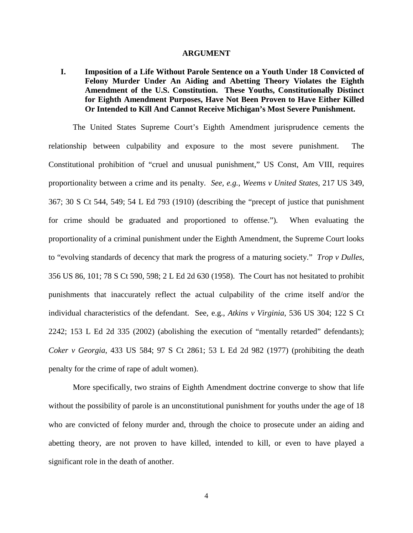#### **ARGUMENT**

**I. Imposition of a Life Without Parole Sentence on a Youth Under 18 Convicted of Felony Murder Under An Aiding and Abetting Theory Violates the Eighth Amendment of the U.S. Constitution. These Youths, Constitutionally Distinct for Eighth Amendment Purposes, Have Not Been Proven to Have Either Killed Or Intended to Kill And Cannot Receive Michigan's Most Severe Punishment.**

The United States Supreme Court's Eighth Amendment jurisprudence cements the relationship between culpability and exposure to the most severe punishment. The Constitutional prohibition of "cruel and unusual punishment," US Const, Am VIII, requires proportionality between a crime and its penalty. *See, e.g.*, *Weems v United States*, 217 US 349, 367; 30 S Ct 544, 549; 54 L Ed 793 (1910) (describing the "precept of justice that punishment for crime should be graduated and proportioned to offense."). When evaluating the proportionality of a criminal punishment under the Eighth Amendment, the Supreme Court looks to "evolving standards of decency that mark the progress of a maturing society." *Trop v Dulles*, 356 US 86, 101; 78 S Ct 590, 598; 2 L Ed 2d 630 (1958). The Court has not hesitated to prohibit punishments that inaccurately reflect the actual culpability of the crime itself and/or the individual characteristics of the defendant. See, e.g., *Atkins v Virginia*, 536 US 304; 122 S Ct 2242; 153 L Ed 2d 335 (2002) (abolishing the execution of "mentally retarded" defendants); *Coker v Georgia*, 433 US 584; 97 S Ct 2861; 53 L Ed 2d 982 (1977) (prohibiting the death penalty for the crime of rape of adult women).

More specifically, two strains of Eighth Amendment doctrine converge to show that life without the possibility of parole is an unconstitutional punishment for youths under the age of 18 who are convicted of felony murder and, through the choice to prosecute under an aiding and abetting theory, are not proven to have killed, intended to kill, or even to have played a significant role in the death of another.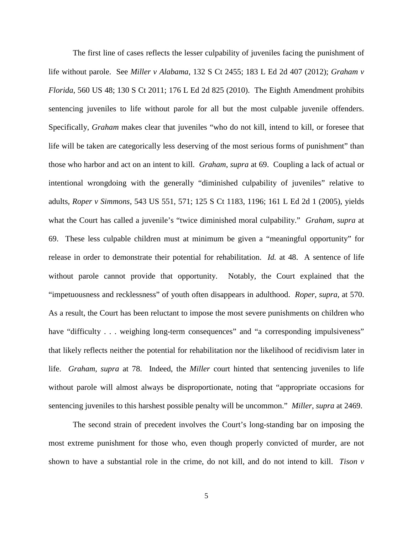The first line of cases reflects the lesser culpability of juveniles facing the punishment of life without parole. See *Miller v Alabama*, 132 S Ct 2455; 183 L Ed 2d 407 (2012); *Graham v Florida*, 560 US 48; 130 S Ct 2011; 176 L Ed 2d 825 (2010). The Eighth Amendment prohibits sentencing juveniles to life without parole for all but the most culpable juvenile offenders. Specifically, *Graham* makes clear that juveniles "who do not kill, intend to kill, or foresee that life will be taken are categorically less deserving of the most serious forms of punishment" than those who harbor and act on an intent to kill. *Graham*, *supra* at 69. Coupling a lack of actual or intentional wrongdoing with the generally "diminished culpability of juveniles" relative to adults, *Roper v Simmons*, 543 US 551, 571; 125 S Ct 1183, 1196; 161 L Ed 2d 1 (2005), yields what the Court has called a juvenile's "twice diminished moral culpability." *Graham*, *supra* at 69. These less culpable children must at minimum be given a "meaningful opportunity" for release in order to demonstrate their potential for rehabilitation. *Id.* at 48. A sentence of life without parole cannot provide that opportunity. Notably, the Court explained that the "impetuousness and recklessness" of youth often disappears in adulthood. *Roper*, *supra*, at 570. As a result, the Court has been reluctant to impose the most severe punishments on children who have "difficulty . . . weighing long-term consequences" and "a corresponding impulsiveness" that likely reflects neither the potential for rehabilitation nor the likelihood of recidivism later in life. *Graham*, *supra* at 78. Indeed, the *Miller* court hinted that sentencing juveniles to life without parole will almost always be disproportionate, noting that "appropriate occasions for sentencing juveniles to this harshest possible penalty will be uncommon." *Miller*, *supra* at 2469.

The second strain of precedent involves the Court's long-standing bar on imposing the most extreme punishment for those who, even though properly convicted of murder, are not shown to have a substantial role in the crime, do not kill, and do not intend to kill. *Tison v*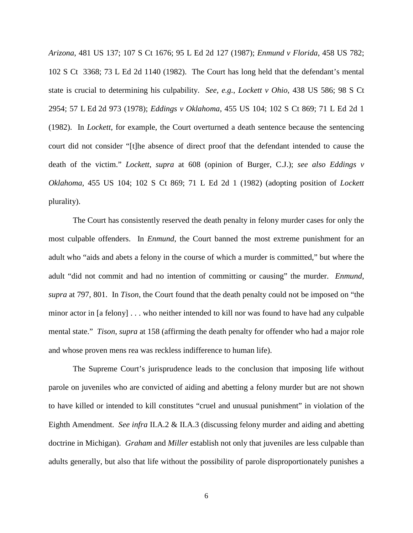*Arizona*, 481 US 137; 107 S Ct 1676; 95 L Ed 2d 127 (1987); *Enmund v Florida*, 458 US 782; 102 S Ct 3368; 73 L Ed 2d 1140 (1982). The Court has long held that the defendant's mental state is crucial to determining his culpability. *See, e.g.*, *Lockett v Ohio*, 438 US 586; 98 S Ct 2954; 57 L Ed 2d 973 (1978); *Eddings v Oklahoma*, 455 US 104; 102 S Ct 869; 71 L Ed 2d 1 (1982). In *Lockett*, for example, the Court overturned a death sentence because the sentencing court did not consider "[t]he absence of direct proof that the defendant intended to cause the death of the victim." *Lockett*, *supra* at 608 (opinion of Burger, C.J.); *see also Eddings v Oklahoma*, 455 US 104; 102 S Ct 869; 71 L Ed 2d 1 (1982) (adopting position of *Lockett* plurality).

The Court has consistently reserved the death penalty in felony murder cases for only the most culpable offenders. In *Enmund*, the Court banned the most extreme punishment for an adult who "aids and abets a felony in the course of which a murder is committed," but where the adult "did not commit and had no intention of committing or causing" the murder. *Enmund*, *supra* at 797, 801. In *Tison*, the Court found that the death penalty could not be imposed on "the minor actor in [a felony] . . . who neither intended to kill nor was found to have had any culpable mental state." *Tison*, *supra* at 158 (affirming the death penalty for offender who had a major role and whose proven mens rea was reckless indifference to human life).

The Supreme Court's jurisprudence leads to the conclusion that imposing life without parole on juveniles who are convicted of aiding and abetting a felony murder but are not shown to have killed or intended to kill constitutes "cruel and unusual punishment" in violation of the Eighth Amendment. *See infra* II.A.2 & II.A.3 (discussing felony murder and aiding and abetting doctrine in Michigan). *Graham* and *Miller* establish not only that juveniles are less culpable than adults generally, but also that life without the possibility of parole disproportionately punishes a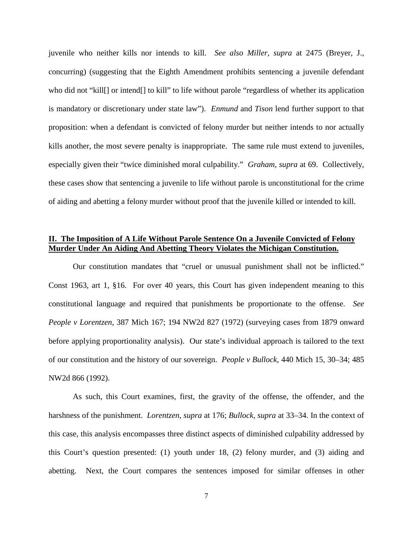juvenile who neither kills nor intends to kill. *See also Miller*, *supra* at 2475 (Breyer, J., concurring) (suggesting that the Eighth Amendment prohibits sentencing a juvenile defendant who did not "kill[] or intend[] to kill" to life without parole "regardless of whether its application is mandatory or discretionary under state law"). *Enmund* and *Tison* lend further support to that proposition: when a defendant is convicted of felony murder but neither intends to nor actually kills another, the most severe penalty is inappropriate. The same rule must extend to juveniles, especially given their "twice diminished moral culpability." *Graham*, *supra* at 69. Collectively, these cases show that sentencing a juvenile to life without parole is unconstitutional for the crime of aiding and abetting a felony murder without proof that the juvenile killed or intended to kill.

### **II. The Imposition of A Life Without Parole Sentence On a Juvenile Convicted of Felony Murder Under An Aiding And Abetting Theory Violates the Michigan Constitution.**

Our constitution mandates that "cruel or unusual punishment shall not be inflicted." Const 1963, art 1, §16. For over 40 years, this Court has given independent meaning to this constitutional language and required that punishments be proportionate to the offense. *See People v Lorentzen*, 387 Mich 167; 194 NW2d 827 (1972) (surveying cases from 1879 onward before applying proportionality analysis). Our state's individual approach is tailored to the text of our constitution and the history of our sovereign. *People v Bullock*, 440 Mich 15, 30–34; 485 NW2d 866 (1992).

As such, this Court examines, first, the gravity of the offense, the offender, and the harshness of the punishment. *Lorentzen*, *supra* at 176; *Bullock*, *supra* at 33–34. In the context of this case, this analysis encompasses three distinct aspects of diminished culpability addressed by this Court's question presented: (1) youth under 18, (2) felony murder, and (3) aiding and abetting. Next, the Court compares the sentences imposed for similar offenses in other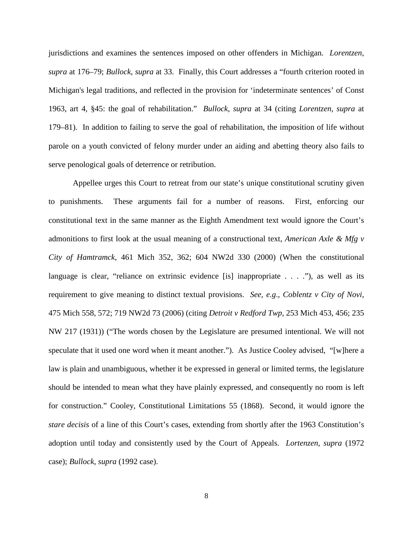jurisdictions and examines the sentences imposed on other offenders in Michigan. *Lorentzen*, *supra* at 176–79; *Bullock*, *supra* at 33. Finally, this Court addresses a "fourth criterion rooted in Michigan's legal traditions, and reflected in the provision for 'indeterminate sentences' of Const 1963, art 4, §45: the goal of rehabilitation." *Bullock*, *supra* at 34 (citing *Lorentzen*, *supra* at 179–81). In addition to failing to serve the goal of rehabilitation, the imposition of life without parole on a youth convicted of felony murder under an aiding and abetting theory also fails to serve penological goals of deterrence or retribution.

Appellee urges this Court to retreat from our state's unique constitutional scrutiny given to punishments. These arguments fail for a number of reasons. First, enforcing our constitutional text in the same manner as the Eighth Amendment text would ignore the Court's admonitions to first look at the usual meaning of a constructional text, *American Axle & Mfg v City of Hamtramck*, 461 Mich 352, 362; 604 NW2d 330 (2000) (When the constitutional language is clear, "reliance on extrinsic evidence [is] inappropriate . . . ."), as well as its requirement to give meaning to distinct textual provisions. *See, e.g*., *Coblentz v City of Novi*, 475 Mich 558, 572; 719 NW2d 73 (2006) (citing *Detroit v Redford Twp*, 253 Mich 453, 456; 235 NW 217 (1931)) ("The words chosen by the Legislature are presumed intentional. We will not speculate that it used one word when it meant another."). As Justice Cooley advised, "[w]here a law is plain and unambiguous, whether it be expressed in general or limited terms, the legislature should be intended to mean what they have plainly expressed, and consequently no room is left for construction." Cooley, Constitutional Limitations 55 (1868). Second, it would ignore the *stare decisis* of a line of this Court's cases, extending from shortly after the 1963 Constitution's adoption until today and consistently used by the Court of Appeals. *Lortenzen*, *supra* (1972 case); *Bullock*, *supra* (1992 case).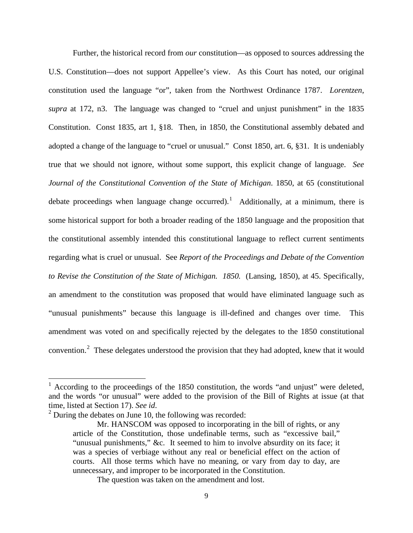Further, the historical record from *our* constitution—as opposed to sources addressing the U.S. Constitution—does not support Appellee's view. As this Court has noted, our original constitution used the language "or", taken from the Northwest Ordinance 1787. *Lorentzen*, *supra* at 172, n3. The language was changed to "cruel and unjust punishment" in the 1835 Constitution. Const 1835, art 1, §18. Then, in 1850, the Constitutional assembly debated and adopted a change of the language to "cruel or unusual." Const 1850, art. 6, §31. It is undeniably true that we should not ignore, without some support, this explicit change of language. *See Journal of the Constitutional Convention of the State of Michigan*. 1850, at 65 (constitutional debate proceedings when language change occurred).<sup>[1](#page-16-0)</sup> Additionally, at a minimum, there is some historical support for both a broader reading of the 1850 language and the proposition that the constitutional assembly intended this constitutional language to reflect current sentiments regarding what is cruel or unusual. See *Report of the Proceedings and Debate of the Convention to Revise the Constitution of the State of Michigan. 1850.* (Lansing, 1850), at 45. Specifically, an amendment to the constitution was proposed that would have eliminated language such as "unusual punishments" because this language is ill-defined and changes over time. This amendment was voted on and specifically rejected by the delegates to the 1850 constitutional convention.<sup>[2](#page-16-1)</sup> These delegates understood the provision that they had adopted, knew that it would

<span id="page-16-0"></span> $1$  According to the proceedings of the 1850 constitution, the words "and unjust" were deleted, and the words "or unusual" were added to the provision of the Bill of Rights at issue (at that time, listed at Section 17). *See id*. <sup>2</sup> During the debates on June 10, the following was recorded:

<span id="page-16-1"></span>

Mr. HANSCOM was opposed to incorporating in the bill of rights, or any article of the Constitution, those undefinable terms, such as "excessive bail," "unusual punishments," &c. It seemed to him to involve absurdity on its face; it was a species of verbiage without any real or beneficial effect on the action of courts. All those terms which have no meaning, or vary from day to day, are unnecessary, and improper to be incorporated in the Constitution.

The question was taken on the amendment and lost.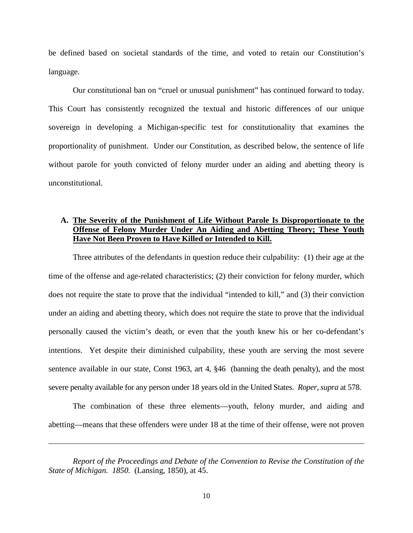be defined based on societal standards of the time, and voted to retain our Constitution's language.

Our constitutional ban on "cruel or unusual punishment" has continued forward to today. This Court has consistently recognized the textual and historic differences of our unique sovereign in developing a Michigan-specific test for constitutionality that examines the proportionality of punishment. Under our Constitution, as described below, the sentence of life without parole for youth convicted of felony murder under an aiding and abetting theory is unconstitutional.

### **A. The Severity of the Punishment of Life Without Parole Is Disproportionate to the Offense of Felony Murder Under An Aiding and Abetting Theory; These Youth Have Not Been Proven to Have Killed or Intended to Kill.**

Three attributes of the defendants in question reduce their culpability: (1) their age at the time of the offense and age-related characteristics; (2) their conviction for felony murder, which does not require the state to prove that the individual "intended to kill," and (3) their conviction under an aiding and abetting theory, which does not require the state to prove that the individual personally caused the victim's death, or even that the youth knew his or her co-defendant's intentions. Yet despite their diminished culpability, these youth are serving the most severe sentence available in our state, Const 1963, art 4, §46 (banning the death penalty), and the most severe penalty available for any person under 18 years old in the United States. *Roper*, *supra* at 578.

The combination of these three elements—youth, felony murder, and aiding and abetting—means that these offenders were under 18 at the time of their offense, were not proven

 $\overline{\phantom{a}}$ 

*Report of the Proceedings and Debate of the Convention to Revise the Constitution of the State of Michigan. 1850.* (Lansing, 1850), at 45.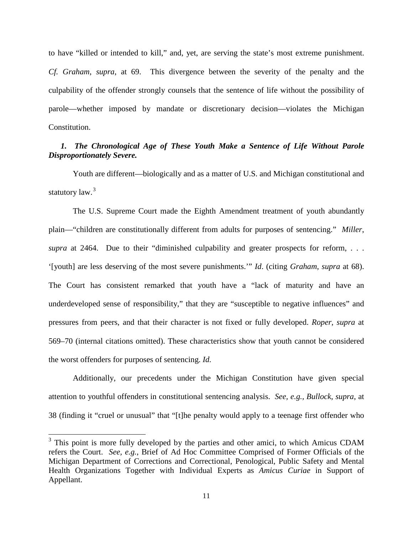to have "killed or intended to kill," and, yet, are serving the state's most extreme punishment. *Cf. Graham*, *supra*, at 69. This divergence between the severity of the penalty and the culpability of the offender strongly counsels that the sentence of life without the possibility of parole—whether imposed by mandate or discretionary decision—violates the Michigan Constitution.

### *1. The Chronological Age of These Youth Make a Sentence of Life Without Parole Disproportionately Severe.*

<span id="page-18-1"></span>Youth are different—biologically and as a matter of U.S. and Michigan constitutional and statutory law.<sup>[3](#page-18-0)</sup>

The U.S. Supreme Court made the Eighth Amendment treatment of youth abundantly plain—"children are constitutionally different from adults for purposes of sentencing." *Miller*, *supra* at 2464. Due to their "diminished culpability and greater prospects for reform, . . . '[youth] are less deserving of the most severe punishments.'" *Id*. (citing *Graham*, *supra* at 68). The Court has consistent remarked that youth have a "lack of maturity and have an underdeveloped sense of responsibility," that they are "susceptible to negative influences" and pressures from peers, and that their character is not fixed or fully developed. *Roper*, *supra* at 569–70 (internal citations omitted). These characteristics show that youth cannot be considered the worst offenders for purposes of sentencing. *Id.*

Additionally, our precedents under the Michigan Constitution have given special attention to youthful offenders in constitutional sentencing analysis. *See, e.g., Bullock*, *supra*, at 38 (finding it "cruel or unusual" that "[t]he penalty would apply to a teenage first offender who

<span id="page-18-0"></span><sup>&</sup>lt;sup>3</sup> This point is more fully developed by the parties and other amici, to which Amicus CDAM refers the Court. *See, e.g.*, Brief of Ad Hoc Committee Comprised of Former Officials of the Michigan Department of Corrections and Correctional, Penological, Public Safety and Mental Health Organizations Together with Individual Experts as *Amicus Curiae* in Support of Appellant.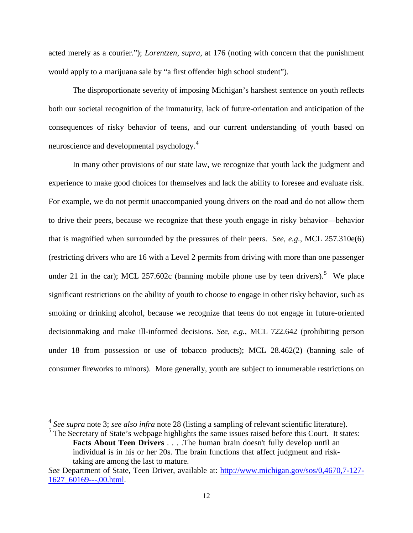acted merely as a courier."); *Lorentzen*, *supra*, at 176 (noting with concern that the punishment would apply to a marijuana sale by "a first offender high school student").

The disproportionate severity of imposing Michigan's harshest sentence on youth reflects both our societal recognition of the immaturity, lack of future-orientation and anticipation of the consequences of risky behavior of teens, and our current understanding of youth based on neuroscience and developmental psychology.<sup>[4](#page-19-0)</sup>

In many other provisions of our state law, we recognize that youth lack the judgment and experience to make good choices for themselves and lack the ability to foresee and evaluate risk. For example, we do not permit unaccompanied young drivers on the road and do not allow them to drive their peers, because we recognize that these youth engage in risky behavior—behavior that is magnified when surrounded by the pressures of their peers. *See, e.g.*, MCL 257.310e(6) (restricting drivers who are 16 with a Level 2 permits from driving with more than one passenger under 21 in the car); MCL 2[5](#page-19-1)7.602c (banning mobile phone use by teen drivers).<sup>5</sup> We place significant restrictions on the ability of youth to choose to engage in other risky behavior, such as smoking or drinking alcohol, because we recognize that teens do not engage in future-oriented decisionmaking and make ill-informed decisions. *See, e.g.,* MCL 722.642 (prohibiting person under 18 from possession or use of tobacco products); MCL 28.462(2) (banning sale of consumer fireworks to minors). More generally, youth are subject to innumerable restrictions on

<span id="page-19-0"></span><sup>4</sup> *See supra* note [3;](#page-18-1) *see also infra* note [28](#page-37-0) (listing a sampling of relevant scientific literature).

<span id="page-19-1"></span><sup>&</sup>lt;sup>5</sup> The Secretary of State's webpage highlights the same issues raised before this Court. It states: **Facts About Teen Drivers** . . . .The human brain doesn't fully develop until an individual is in his or her 20s. The brain functions that affect judgment and risktaking are among the last to mature.

*See* Department of State, Teen Driver, available at: [http://www.michigan.gov/sos/0,4670,7-127-](http://www.michigan.gov/sos/0,4670,7-127-1627_60169---,00.html) [1627\\_60169---,00.html.](http://www.michigan.gov/sos/0,4670,7-127-1627_60169---,00.html)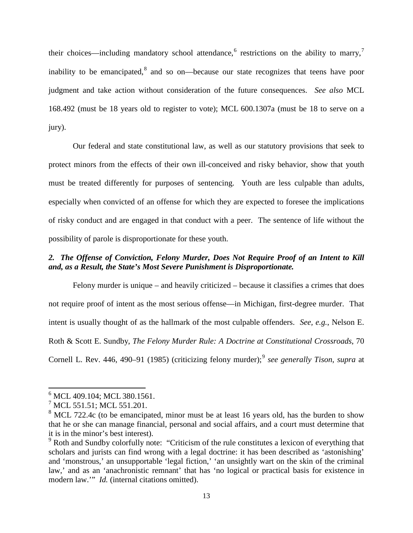their choices—including mandatory school attendance,  $6$  restrictions on the ability to marry, inability to be emancipated,<sup>[8](#page-20-2)</sup> and so on—because our state recognizes that teens have poor judgment and take action without consideration of the future consequences. *See also* MCL 168.492 (must be 18 years old to register to vote); MCL 600.1307a (must be 18 to serve on a jury).

Our federal and state constitutional law, as well as our statutory provisions that seek to protect minors from the effects of their own ill-conceived and risky behavior, show that youth must be treated differently for purposes of sentencing. Youth are less culpable than adults, especially when convicted of an offense for which they are expected to foresee the implications of risky conduct and are engaged in that conduct with a peer. The sentence of life without the possibility of parole is disproportionate for these youth.

### *2. The Offense of Conviction, Felony Murder, Does Not Require Proof of an Intent to Kill and, as a Result, the State's Most Severe Punishment is Disproportionate.*

Felony murder is unique – and heavily criticized – because it classifies a crimes that does not require proof of intent as the most serious offense—in Michigan, first-degree murder. That intent is usually thought of as the hallmark of the most culpable offenders. *See, e.g.*, Nelson E. Roth & Scott E. Sundby, *The Felony Murder Rule: A Doctrine at Constitutional Crossroads*, 70 Cornell L. Rev. 446, 4[9](#page-20-3)0-91 (1985) (criticizing felony murder);<sup>9</sup> see generally Tison, supra at

<span id="page-20-2"></span>

<span id="page-20-1"></span><span id="page-20-0"></span><sup>&</sup>lt;sup>6</sup> MCL 409.104; MCL 380.1561.<br><sup>7</sup> MCL 551.51; MCL 551.201.<br><sup>8</sup> MCL 722.4c (to be emancipated, minor must be at least 16 years old, has the burden to show that he or she can manage financial, personal and social affairs, and a court must determine that it is in the minor's best interest).

<span id="page-20-3"></span><sup>&</sup>lt;sup>9</sup> Roth and Sundby colorfully note: "Criticism of the rule constitutes a lexicon of everything that scholars and jurists can find wrong with a legal doctrine: it has been described as 'astonishing' and 'monstrous,' an unsupportable 'legal fiction,' 'an unsightly wart on the skin of the criminal law,' and as an 'anachronistic remnant' that has 'no logical or practical basis for existence in modern law." *Id.* (internal citations omitted).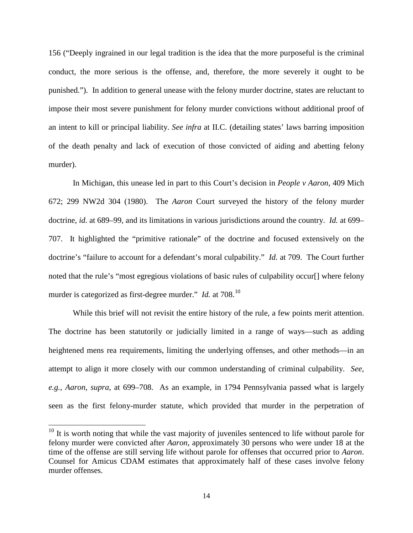156 ("Deeply ingrained in our legal tradition is the idea that the more purposeful is the criminal conduct, the more serious is the offense, and, therefore, the more severely it ought to be punished."). In addition to general unease with the felony murder doctrine, states are reluctant to impose their most severe punishment for felony murder convictions without additional proof of an intent to kill or principal liability. *See infra* at II.C. (detailing states' laws barring imposition of the death penalty and lack of execution of those convicted of aiding and abetting felony murder).

In Michigan, this unease led in part to this Court's decision in *People v Aaron*, 409 Mich 672; 299 NW2d 304 (1980). The *Aaron* Court surveyed the history of the felony murder doctrine, *id.* at 689–99, and its limitations in various jurisdictions around the country. *Id.* at 699– 707. It highlighted the "primitive rationale" of the doctrine and focused extensively on the doctrine's "failure to account for a defendant's moral culpability." *Id.* at 709. The Court further noted that the rule's "most egregious violations of basic rules of culpability occur[] where felony murder is categorized as first-degree murder." *Id.* at 708.<sup>10</sup>

While this brief will not revisit the entire history of the rule, a few points merit attention. The doctrine has been statutorily or judicially limited in a range of ways—such as adding heightened mens rea requirements, limiting the underlying offenses, and other methods—in an attempt to align it more closely with our common understanding of criminal culpability. *See, e.g.*, *Aaron*, *supra*, at 699–708. As an example, in 1794 Pennsylvania passed what is largely seen as the first felony-murder statute, which provided that murder in the perpetration of

<span id="page-21-0"></span> $10$  It is worth noting that while the vast majority of juveniles sentenced to life without parole for felony murder were convicted after *Aaron*, approximately 30 persons who were under 18 at the time of the offense are still serving life without parole for offenses that occurred prior to *Aaron*. Counsel for Amicus CDAM estimates that approximately half of these cases involve felony murder offenses.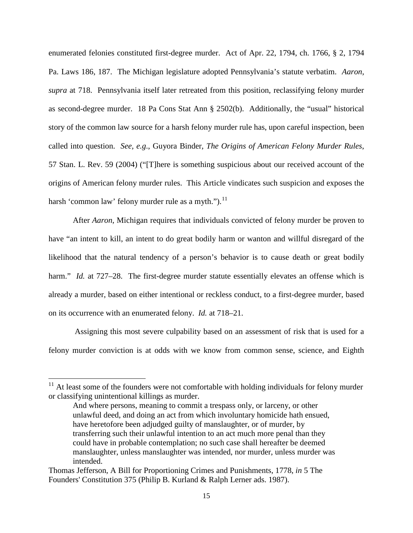enumerated felonies constituted first-degree murder. Act of Apr. 22, 1794, ch. 1766, § 2, 1794 Pa. Laws 186, 187. The Michigan legislature adopted Pennsylvania's statute verbatim. *Aaron*, *supra* at 718. Pennsylvania itself later retreated from this position, reclassifying felony murder as second-degree murder. 18 Pa Cons Stat Ann § 2502(b). Additionally, the "usual" historical story of the common law source for a harsh felony murder rule has, upon careful inspection, been called into question. *See, e.g*., Guyora Binder, *The Origins of American Felony Murder Rules*, 57 Stan. L. Rev. 59 (2004) ("[T]here is something suspicious about our received account of the origins of American felony murder rules. This Article vindicates such suspicion and exposes the harsh 'common law' felony murder rule as a myth."). $^{11}$  $^{11}$  $^{11}$ 

After *Aaron*, Michigan requires that individuals convicted of felony murder be proven to have "an intent to kill, an intent to do great bodily harm or wanton and willful disregard of the likelihood that the natural tendency of a person's behavior is to cause death or great bodily harm." *Id.* at 727–28. The first-degree murder statute essentially elevates an offense which is already a murder, based on either intentional or reckless conduct, to a first-degree murder, based on its occurrence with an enumerated felony. *Id.* at 718–21.

Assigning this most severe culpability based on an assessment of risk that is used for a felony murder conviction is at odds with we know from common sense, science, and Eighth

<span id="page-22-0"></span> $11$  At least some of the founders were not comfortable with holding individuals for felony murder or classifying unintentional killings as murder.

And where persons, meaning to commit a trespass only, or larceny, or other unlawful deed, and doing an act from which involuntary homicide hath ensued, have heretofore been adjudged guilty of manslaughter, or of murder, by transferring such their unlawful intention to an act much more penal than they could have in probable contemplation; no such case shall hereafter be deemed manslaughter, unless manslaughter was intended, nor murder, unless murder was intended.

Thomas Jefferson, A Bill for Proportioning Crimes and Punishments, 1778, *in* 5 The Founders' Constitution 375 (Philip B. Kurland & Ralph Lerner ads. 1987).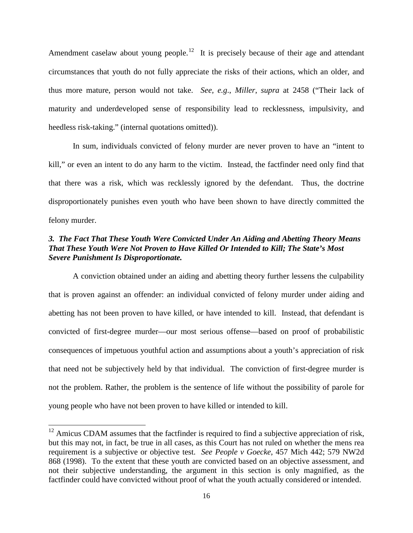Amendment caselaw about young people.<sup>12</sup> It is precisely because of their age and attendant circumstances that youth do not fully appreciate the risks of their actions, which an older, and thus more mature, person would not take. *See, e.g*., *Miller*, *supra* at 2458 ("Their lack of maturity and underdeveloped sense of responsibility lead to recklessness, impulsivity, and heedless risk-taking." (internal quotations omitted)).

In sum, individuals convicted of felony murder are never proven to have an "intent to kill," or even an intent to do any harm to the victim. Instead, the factfinder need only find that that there was a risk, which was recklessly ignored by the defendant. Thus, the doctrine disproportionately punishes even youth who have been shown to have directly committed the felony murder.

### *3. The Fact That These Youth Were Convicted Under An Aiding and Abetting Theory Means That These Youth Were Not Proven to Have Killed Or Intended to Kill; The State's Most Severe Punishment Is Disproportionate.*

A conviction obtained under an aiding and abetting theory further lessens the culpability that is proven against an offender: an individual convicted of felony murder under aiding and abetting has not been proven to have killed, or have intended to kill. Instead, that defendant is convicted of first-degree murder—our most serious offense—based on proof of probabilistic consequences of impetuous youthful action and assumptions about a youth's appreciation of risk that need not be subjectively held by that individual. The conviction of first-degree murder is not the problem. Rather, the problem is the sentence of life without the possibility of parole for young people who have not been proven to have killed or intended to kill.

<span id="page-23-0"></span> $12$  Amicus CDAM assumes that the factfinder is required to find a subjective appreciation of risk, but this may not, in fact, be true in all cases, as this Court has not ruled on whether the mens rea requirement is a subjective or objective test. *See People v Goecke*, 457 Mich 442; 579 NW2d 868 (1998). To the extent that these youth are convicted based on an objective assessment, and not their subjective understanding, the argument in this section is only magnified, as the factfinder could have convicted without proof of what the youth actually considered or intended.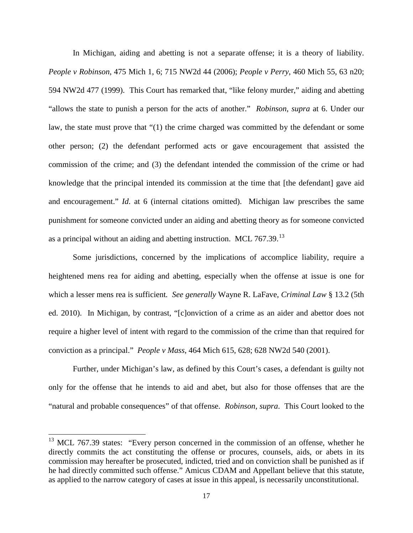In Michigan, aiding and abetting is not a separate offense; it is a theory of liability. *People v Robinson*, 475 Mich 1, 6; 715 NW2d 44 (2006); *People v Perry*, 460 Mich 55, 63 n20; 594 NW2d 477 (1999). This Court has remarked that, "like felony murder," aiding and abetting "allows the state to punish a person for the acts of another." *Robinson*, *supra* at 6. Under our law, the state must prove that "(1) the crime charged was committed by the defendant or some other person; (2) the defendant performed acts or gave encouragement that assisted the commission of the crime; and (3) the defendant intended the commission of the crime or had knowledge that the principal intended its commission at the time that [the defendant] gave aid and encouragement." *Id*. at 6 (internal citations omitted). Michigan law prescribes the same punishment for someone convicted under an aiding and abetting theory as for someone convicted as a principal without an aiding and abetting instruction. MCL 767.39.<sup>[13](#page-24-0)</sup>

Some jurisdictions, concerned by the implications of accomplice liability, require a heightened mens rea for aiding and abetting, especially when the offense at issue is one for which a lesser mens rea is sufficient*. See generally* Wayne R. LaFave, *Criminal Law* § 13.2 (5th ed. 2010). In Michigan, by contrast, "[c]onviction of a crime as an aider and abettor does not require a higher level of intent with regard to the commission of the crime than that required for conviction as a principal." *People v Mass*, 464 Mich 615, 628; 628 NW2d 540 (2001).

Further, under Michigan's law, as defined by this Court's cases, a defendant is guilty not only for the offense that he intends to aid and abet, but also for those offenses that are the "natural and probable consequences" of that offense. *Robinson*, *supra*. This Court looked to the

<span id="page-24-0"></span><sup>&</sup>lt;sup>13</sup> MCL 767.39 states: "Every person concerned in the commission of an offense, whether he directly commits the act constituting the offense or procures, counsels, aids, or abets in its commission may hereafter be prosecuted, indicted, tried and on conviction shall be punished as if he had directly committed such offense." Amicus CDAM and Appellant believe that this statute, as applied to the narrow category of cases at issue in this appeal, is necessarily unconstitutional.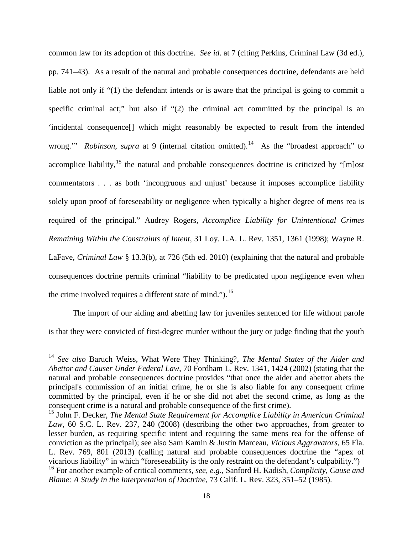common law for its adoption of this doctrine. *See id*. at 7 (citing Perkins, Criminal Law (3d ed.), pp. 741–43). As a result of the natural and probable consequences doctrine, defendants are held liable not only if "(1) the defendant intends or is aware that the principal is going to commit a specific criminal act;" but also if "(2) the criminal act committed by the principal is an 'incidental consequence[] which might reasonably be expected to result from the intended wrong." *Robinson, supra* at 9 (internal citation omitted).<sup>[14](#page-25-0)</sup> As the "broadest approach" to accomplice liability,  $15$  the natural and probable consequences doctrine is criticized by "[m]ost commentators . . . as both 'incongruous and unjust' because it imposes accomplice liability solely upon proof of foreseeability or negligence when typically a higher degree of mens rea is required of the principal." Audrey Rogers, *Accomplice Liability for Unintentional Crimes Remaining Within the Constraints of Intent*, 31 Loy. L.A. L. Rev. 1351, 1361 (1998); Wayne R. LaFave, *Criminal Law* § 13.3(b), at 726 (5th ed. 2010) (explaining that the natural and probable consequences doctrine permits criminal "liability to be predicated upon negligence even when the crime involved requires a different state of mind.").<sup>[16](#page-25-2)</sup>

The import of our aiding and abetting law for juveniles sentenced for life without parole is that they were convicted of first-degree murder without the jury or judge finding that the youth

<span id="page-25-0"></span><sup>14</sup> *See also* Baruch Weiss, What Were They Thinking?, *The Mental States of the Aider and Abettor and Causer Under Federal Law*, 70 Fordham L. Rev. 1341, 1424 (2002) (stating that the natural and probable consequences doctrine provides "that once the aider and abettor abets the principal's commission of an initial crime, he or she is also liable for any consequent crime committed by the principal, even if he or she did not abet the second crime, as long as the consequent crime is a natural and probable consequence of the first crime).

<span id="page-25-1"></span><sup>&</sup>lt;sup>15</sup> John F. Decker, *The Mental State Requirement for Accomplice Liability in American Criminal Law*, 60 S.C. L. Rev. 237, 240 (2008) (describing the other two approaches, from greater to lesser burden, as requiring specific intent and requiring the same mens rea for the offense of conviction as the principal); see also Sam Kamin & Justin Marceau, *Vicious Aggravators*, 65 Fla. L. Rev. 769, 801 (2013) (calling natural and probable consequences doctrine the "apex of vicarious liability" in which "foreseeability is the only restraint on the defendant's culpability.")

<span id="page-25-2"></span><sup>16</sup> For another example of critical comments, *see, e.g*., Sanford H. Kadish, *Complicity, Cause and Blame: A Study in the Interpretation of Doctrine*, 73 Calif. L. Rev. 323, 351–52 (1985).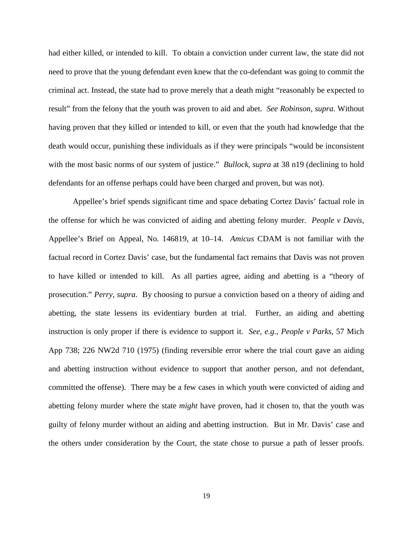had either killed, or intended to kill. To obtain a conviction under current law, the state did not need to prove that the young defendant even knew that the co-defendant was going to commit the criminal act. Instead, the state had to prove merely that a death might "reasonably be expected to result" from the felony that the youth was proven to aid and abet. *See Robinson*, *supra*. Without having proven that they killed or intended to kill, or even that the youth had knowledge that the death would occur, punishing these individuals as if they were principals "would be inconsistent with the most basic norms of our system of justice." *Bullock*, *supra* at 38 n19 (declining to hold defendants for an offense perhaps could have been charged and proven, but was not).

Appellee's brief spends significant time and space debating Cortez Davis' factual role in the offense for which he was convicted of aiding and abetting felony murder. *People v Davis*, Appellee's Brief on Appeal, No. 146819, at 10–14. *Amicus* CDAM is not familiar with the factual record in Cortez Davis' case, but the fundamental fact remains that Davis was not proven to have killed or intended to kill. As all parties agree, aiding and abetting is a "theory of prosecution." *Perry*, *supra*. By choosing to pursue a conviction based on a theory of aiding and abetting, the state lessens its evidentiary burden at trial. Further, an aiding and abetting instruction is only proper if there is evidence to support it. *See, e.g*., *People v Parks*, 57 Mich App 738; 226 NW2d 710 (1975) (finding reversible error where the trial court gave an aiding and abetting instruction without evidence to support that another person, and not defendant, committed the offense). There may be a few cases in which youth were convicted of aiding and abetting felony murder where the state *might* have proven, had it chosen to, that the youth was guilty of felony murder without an aiding and abetting instruction. But in Mr. Davis' case and the others under consideration by the Court, the state chose to pursue a path of lesser proofs.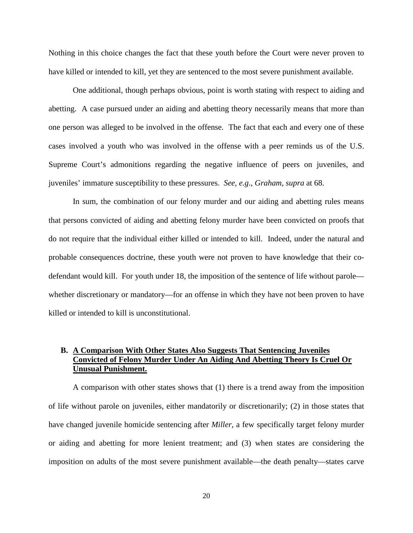Nothing in this choice changes the fact that these youth before the Court were never proven to have killed or intended to kill, yet they are sentenced to the most severe punishment available.

One additional, though perhaps obvious, point is worth stating with respect to aiding and abetting. A case pursued under an aiding and abetting theory necessarily means that more than one person was alleged to be involved in the offense. The fact that each and every one of these cases involved a youth who was involved in the offense with a peer reminds us of the U.S. Supreme Court's admonitions regarding the negative influence of peers on juveniles, and juveniles' immature susceptibility to these pressures. *See, e.g*., *Graham*, *supra* at 68.

In sum, the combination of our felony murder and our aiding and abetting rules means that persons convicted of aiding and abetting felony murder have been convicted on proofs that do not require that the individual either killed or intended to kill. Indeed, under the natural and probable consequences doctrine, these youth were not proven to have knowledge that their codefendant would kill. For youth under 18, the imposition of the sentence of life without parole whether discretionary or mandatory—for an offense in which they have not been proven to have killed or intended to kill is unconstitutional.

### **B. A Comparison With Other States Also Suggests That Sentencing Juveniles Convicted of Felony Murder Under An Aiding And Abetting Theory Is Cruel Or Unusual Punishment.**

A comparison with other states shows that (1) there is a trend away from the imposition of life without parole on juveniles, either mandatorily or discretionarily; (2) in those states that have changed juvenile homicide sentencing after *Miller*, a few specifically target felony murder or aiding and abetting for more lenient treatment; and (3) when states are considering the imposition on adults of the most severe punishment available—the death penalty—states carve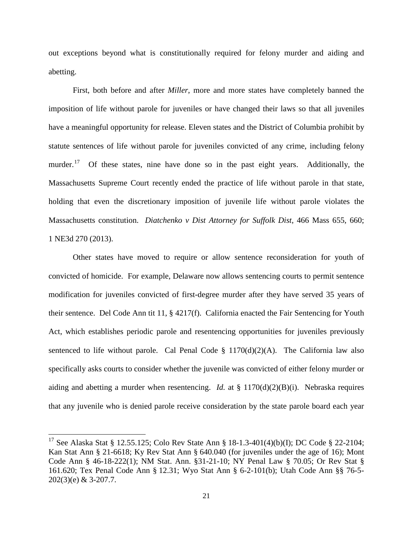out exceptions beyond what is constitutionally required for felony murder and aiding and abetting.

First, both before and after *Miller*, more and more states have completely banned the imposition of life without parole for juveniles or have changed their laws so that all juveniles have a meaningful opportunity for release. Eleven states and the District of Columbia prohibit by statute sentences of life without parole for juveniles convicted of any crime, including felony murder.<sup>[17](#page-28-0)</sup> Of these states, nine have done so in the past eight years. Additionally, the Massachusetts Supreme Court recently ended the practice of life without parole in that state, holding that even the discretionary imposition of juvenile life without parole violates the Massachusetts constitution. *Diatchenko v Dist Attorney for Suffolk Dist*, 466 Mass 655, 660; 1 NE3d 270 (2013).

Other states have moved to require or allow sentence reconsideration for youth of convicted of homicide. For example, Delaware now allows sentencing courts to permit sentence modification for juveniles convicted of first-degree murder after they have served 35 years of their sentence. Del Code Ann tit 11, § 4217(f). California enacted the Fair Sentencing for Youth Act, which establishes periodic parole and resentencing opportunities for juveniles previously sentenced to life without parole. Cal Penal Code  $\S$  1170(d)(2)(A). The California law also specifically asks courts to consider whether the juvenile was convicted of either felony murder or aiding and abetting a murder when resentencing. *Id.* at § 1170(d)(2)(B)(i). Nebraska requires that any juvenile who is denied parole receive consideration by the state parole board each year

<span id="page-28-0"></span><sup>17</sup> See Alaska Stat § 12.55.125; Colo Rev State Ann § 18-1.3-401(4)(b)(I); DC Code § 22-2104; Kan Stat Ann § 21-6618; Ky Rev Stat Ann § 640.040 (for juveniles under the age of 16); Mont Code Ann § 46-18-222(1); NM Stat. Ann. §31-21-10; NY Penal Law § 70.05; Or Rev Stat § 161.620; Tex Penal Code Ann § 12.31; Wyo Stat Ann § 6-2-101(b); Utah Code Ann §§ 76-5- 202(3)(e) & 3-207.7.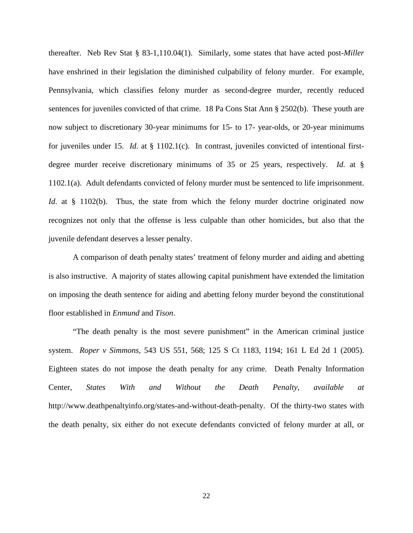thereafter. Neb Rev Stat § 83-1,110.04(1). Similarly, some states that have acted post-*Miller* have enshrined in their legislation the diminished culpability of felony murder. For example, Pennsylvania, which classifies felony murder as second-degree murder, recently reduced sentences for juveniles convicted of that crime. 18 Pa Cons Stat Ann § 2502(b). These youth are now subject to discretionary 30-year minimums for 15- to 17- year-olds, or 20-year minimums for juveniles under 15. *Id*. at § 1102.1(c). In contrast, juveniles convicted of intentional firstdegree murder receive discretionary minimums of 35 or 25 years, respectively. *Id.* at § 1102.1(a). Adult defendants convicted of felony murder must be sentenced to life imprisonment. *Id*. at § 1102(b). Thus, the state from which the felony murder doctrine originated now recognizes not only that the offense is less culpable than other homicides, but also that the juvenile defendant deserves a lesser penalty.

A comparison of death penalty states' treatment of felony murder and aiding and abetting is also instructive. A majority of states allowing capital punishment have extended the limitation on imposing the death sentence for aiding and abetting felony murder beyond the constitutional floor established in *Enmund* and *Tison*.

"The death penalty is the most severe punishment" in the American criminal justice system. *Roper v Simmons*, 543 US 551, 568; 125 S Ct 1183, 1194; 161 L Ed 2d 1 (2005). Eighteen states do not impose the death penalty for any crime. Death Penalty Information Center, *States With and Without the Death Penalty*, *available at* http://www.deathpenaltyinfo.org/states-and-without-death-penalty. Of the thirty-two states with the death penalty, six either do not execute defendants convicted of felony murder at all, or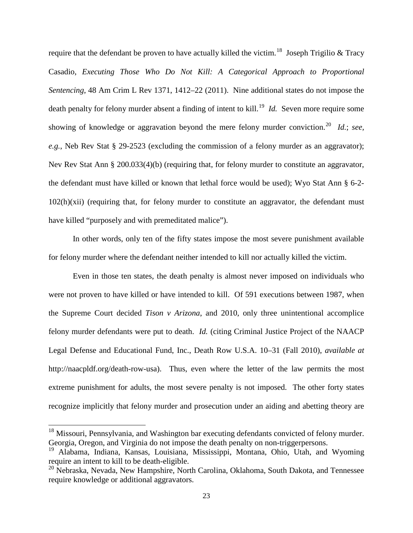require that the defendant be proven to have actually killed the victim.<sup>[18](#page-30-0)</sup> Joseph Trigilio & Tracy Casadio, *Executing Those Who Do Not Kill: A Categorical Approach to Proportional Sentencing*, 48 Am Crim L Rev 1371, 1412–22 (2011). Nine additional states do not impose the death penalty for felony murder absent a finding of intent to kill.<sup>[19](#page-30-1)</sup> *Id.* Seven more require some showing of knowledge or aggravation beyond the mere felony murder conviction.<sup>[20](#page-30-2)</sup> *Id.*; *see, e.g.*, Neb Rev Stat § 29-2523 (excluding the commission of a felony murder as an aggravator); Nev Rev Stat Ann § 200.033(4)(b) (requiring that, for felony murder to constitute an aggravator, the defendant must have killed or known that lethal force would be used); Wyo Stat Ann § 6-2-  $102(h)(xii)$  (requiring that, for felony murder to constitute an aggravator, the defendant must have killed "purposely and with premeditated malice").

In other words, only ten of the fifty states impose the most severe punishment available for felony murder where the defendant neither intended to kill nor actually killed the victim.

Even in those ten states, the death penalty is almost never imposed on individuals who were not proven to have killed or have intended to kill. Of 591 executions between 1987, when the Supreme Court decided *Tison v Arizona*, and 2010, only three unintentional accomplice felony murder defendants were put to death. *Id.* (citing Criminal Justice Project of the NAACP Legal Defense and Educational Fund, Inc., Death Row U.S.A. 10–31 (Fall 2010), *available at* http://naacpldf.org/death-row-usa). Thus, even where the letter of the law permits the most extreme punishment for adults, the most severe penalty is not imposed. The other forty states recognize implicitly that felony murder and prosecution under an aiding and abetting theory are

<span id="page-30-0"></span><sup>&</sup>lt;sup>18</sup> Missouri, Pennsylvania, and Washington bar executing defendants convicted of felony murder. Georgia, Oregon, and Virginia do not impose the death penalty on non-triggerpersons.

<span id="page-30-1"></span><sup>&</sup>lt;sup>19</sup> Alabama, Indiana, Kansas, Louisiana, Mississippi, Montana, Ohio, Utah, and Wyoming require an intent to kill to be death-eligible.

<span id="page-30-2"></span><sup>&</sup>lt;sup>20</sup> Nebraska, Nevada, New Hampshire, North Carolina, Oklahoma, South Dakota, and Tennessee require knowledge or additional aggravators.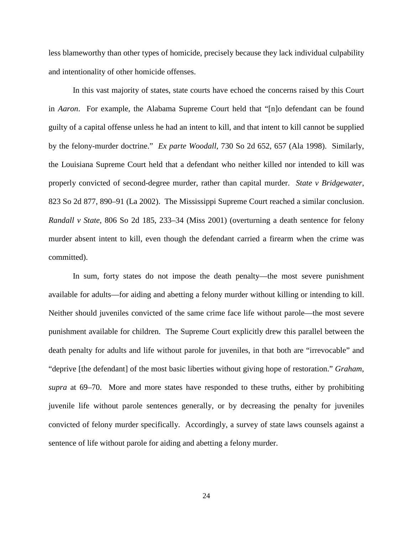less blameworthy than other types of homicide, precisely because they lack individual culpability and intentionality of other homicide offenses.

In this vast majority of states, state courts have echoed the concerns raised by this Court in *Aaron*. For example, the Alabama Supreme Court held that "[n]o defendant can be found guilty of a capital offense unless he had an intent to kill, and that intent to kill cannot be supplied by the felony-murder doctrine." *Ex parte Woodall*, 730 So 2d 652, 657 (Ala 1998). Similarly, the Louisiana Supreme Court held that a defendant who neither killed nor intended to kill was properly convicted of second-degree murder, rather than capital murder. *State v Bridgewater*, 823 So 2d 877, 890–91 (La 2002). The Mississippi Supreme Court reached a similar conclusion. *Randall v State*, 806 So 2d 185, 233–34 (Miss 2001) (overturning a death sentence for felony murder absent intent to kill, even though the defendant carried a firearm when the crime was committed).

In sum, forty states do not impose the death penalty—the most severe punishment available for adults—for aiding and abetting a felony murder without killing or intending to kill. Neither should juveniles convicted of the same crime face life without parole—the most severe punishment available for children. The Supreme Court explicitly drew this parallel between the death penalty for adults and life without parole for juveniles, in that both are "irrevocable" and "deprive [the defendant] of the most basic liberties without giving hope of restoration." *Graham*, *supra* at 69–70. More and more states have responded to these truths, either by prohibiting juvenile life without parole sentences generally, or by decreasing the penalty for juveniles convicted of felony murder specifically. Accordingly, a survey of state laws counsels against a sentence of life without parole for aiding and abetting a felony murder.

24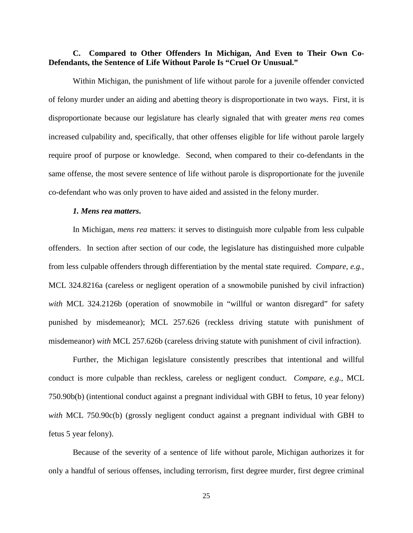#### **C. Compared to Other Offenders In Michigan, And Even to Their Own Co-Defendants, the Sentence of Life Without Parole Is "Cruel Or Unusual."**

Within Michigan, the punishment of life without parole for a juvenile offender convicted of felony murder under an aiding and abetting theory is disproportionate in two ways. First, it is disproportionate because our legislature has clearly signaled that with greater *mens rea* comes increased culpability and, specifically, that other offenses eligible for life without parole largely require proof of purpose or knowledge. Second, when compared to their co-defendants in the same offense, the most severe sentence of life without parole is disproportionate for the juvenile co-defendant who was only proven to have aided and assisted in the felony murder.

#### *1. Mens rea matters***.**

In Michigan, *mens rea* matters: it serves to distinguish more culpable from less culpable offenders. In section after section of our code, the legislature has distinguished more culpable from less culpable offenders through differentiation by the mental state required. *Compare, e.g.*, MCL 324.8216a (careless or negligent operation of a snowmobile punished by civil infraction) with MCL 324.2126b (operation of snowmobile in "willful or wanton disregard" for safety punished by misdemeanor); MCL 257.626 (reckless driving statute with punishment of misdemeanor) *with* MCL 257.626b (careless driving statute with punishment of civil infraction).

Further, the Michigan legislature consistently prescribes that intentional and willful conduct is more culpable than reckless, careless or negligent conduct. *Compare, e.g*., MCL 750.90b(b) (intentional conduct against a pregnant individual with GBH to fetus, 10 year felony) *with* MCL 750.90c(b) (grossly negligent conduct against a pregnant individual with GBH to fetus 5 year felony).

Because of the severity of a sentence of life without parole, Michigan authorizes it for only a handful of serious offenses, including terrorism, first degree murder, first degree criminal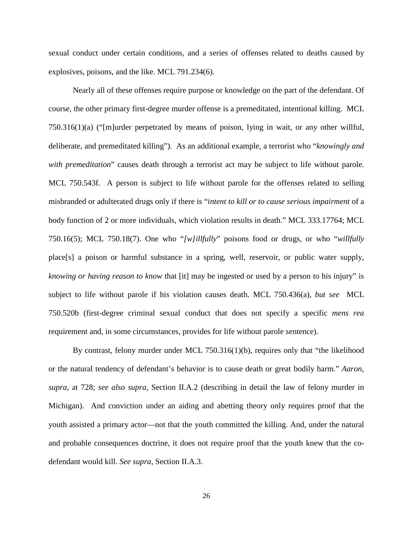sexual conduct under certain conditions, and a series of offenses related to deaths caused by explosives, poisons, and the like. MCL 791.234(6).

Nearly all of these offenses require purpose or knowledge on the part of the defendant. Of course, the other primary first-degree murder offense is a premeditated, intentional killing. MCL 750.316(1)(a) ("[m]urder perpetrated by means of poison, lying in wait, or any other willful, deliberate, and premeditated killing"). As an additional example, a terrorist who "*knowingly and with premeditation*" causes death through a terrorist act may be subject to life without parole. MCL 750.543f. A person is subject to life without parole for the offenses related to selling misbranded or adulterated drugs only if there is "*intent to kill or to cause serious impairment* of a body function of 2 or more individuals, which violation results in death." MCL 333.17764; MCL 750.16(5); MCL 750.18(7). One who "*[w]illfully*" poisons food or drugs, or who "*willfully* place[s] a poison or harmful substance in a spring, well, reservoir, or public water supply, *knowing or having reason to know* that [it] may be ingested or used by a person to his injury" is subject to life without parole if his violation causes death. MCL 750.436(a), *but see* MCL 750.520b (first-degree criminal sexual conduct that does not specify a specific *mens rea* requirement and, in some circumstances, provides for life without parole sentence).

By contrast, felony murder under MCL 750.316(1)(b), requires only that "the likelihood or the natural tendency of defendant's behavior is to cause death or great bodily harm." *Aaron*, *supra*, at 728; *see also supra,* Section II.A.2 (describing in detail the law of felony murder in Michigan). And conviction under an aiding and abetting theory only requires proof that the youth assisted a primary actor—not that the youth committed the killing. And, under the natural and probable consequences doctrine, it does not require proof that the youth knew that the codefendant would kill. *See supra*, Section II.A.3.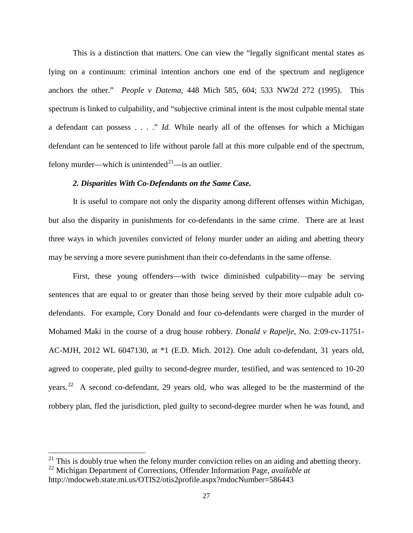This is a distinction that matters. One can view the "legally significant mental states as lying on a continuum: criminal intention anchors one end of the spectrum and negligence anchors the other." *People v Datema*, 448 Mich 585, 604; 533 NW2d 272 (1995). This spectrum is linked to culpability, and "subjective criminal intent is the most culpable mental state a defendant can possess . . . ." *Id.* While nearly all of the offenses for which a Michigan defendant can be sentenced to life without parole fall at this more culpable end of the spectrum, felony murder—which is unintended<sup>21</sup>—is an outlier.

#### *2. Disparities With Co-Defendants on the Same Case.*

It is useful to compare not only the disparity among different offenses within Michigan, but also the disparity in punishments for co-defendants in the same crime. There are at least three ways in which juveniles convicted of felony murder under an aiding and abetting theory may be serving a more severe punishment than their co-defendants in the same offense.

First, these young offenders—with twice diminished culpability—may be serving sentences that are equal to or greater than those being served by their more culpable adult codefendants. For example, Cory Donald and four co-defendants were charged in the murder of Mohamed Maki in the course of a drug house robbery. *Donald v Rapelje*, No. 2:09-cv-11751- AC-MJH, 2012 WL 6047130, at \*1 (E.D. Mich. 2012). One adult co-defendant, 31 years old, agreed to cooperate, pled guilty to second-degree murder, testified, and was sentenced to 10-20 years.[22](#page-34-1) A second co-defendant, 29 years old, who was alleged to be the mastermind of the robbery plan, fled the jurisdiction, pled guilty to second-degree murder when he was found, and

<span id="page-34-1"></span><span id="page-34-0"></span> $^{21}$  This is doubly true when the felony murder conviction relies on an aiding and abetting theory. <sup>22</sup> Michigan Department of Corrections, Offender Information Page, *available at*

http://mdocweb.state.mi.us/OTIS2/otis2profile.aspx?mdocNumber=586443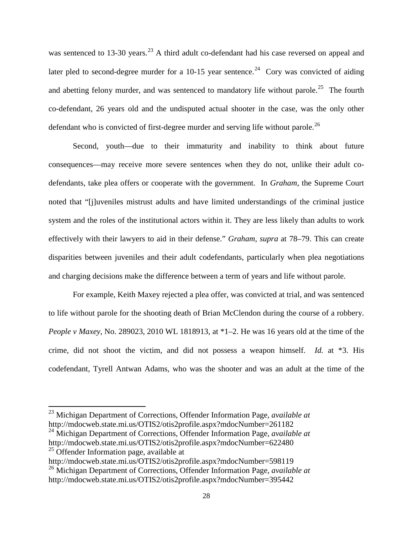was sentenced to 13-30 years.<sup>[23](#page-35-0)</sup> A third adult co-defendant had his case reversed on appeal and later pled to second-degree murder for a 10-15 year sentence.<sup>24</sup> Cory was convicted of aiding and abetting felony murder, and was sentenced to mandatory life without parole.<sup>[25](#page-35-2)</sup> The fourth co-defendant, 26 years old and the undisputed actual shooter in the case, was the only other defendant who is convicted of first-degree murder and serving life without parole.<sup>[26](#page-35-3)</sup>

Second, youth—due to their immaturity and inability to think about future consequences—may receive more severe sentences when they do not, unlike their adult codefendants, take plea offers or cooperate with the government. In *Graham*, the Supreme Court noted that "[j]uveniles mistrust adults and have limited understandings of the criminal justice system and the roles of the institutional actors within it. They are less likely than adults to work effectively with their lawyers to aid in their defense." *Graham*, *supra* at 78–79. This can create disparities between juveniles and their adult codefendants, particularly when plea negotiations and charging decisions make the difference between a term of years and life without parole.

For example, Keith Maxey rejected a plea offer, was convicted at trial, and was sentenced to life without parole for the shooting death of Brian McClendon during the course of a robbery. *People v Maxey*, No. 289023, 2010 WL 1818913, at \*1–2. He was 16 years old at the time of the crime, did not shoot the victim, and did not possess a weapon himself. *Id.* at \*3. His codefendant, Tyrell Antwan Adams, who was the shooter and was an adult at the time of the

<span id="page-35-0"></span><sup>23</sup> Michigan Department of Corrections, Offender Information Page, *available at* http://mdocweb.state.mi.us/OTIS2/otis2profile.aspx?mdocNumber=261182

<span id="page-35-1"></span><sup>24</sup> Michigan Department of Corrections, Offender Information Page, *available at* http://mdocweb.state.mi.us/OTIS2/otis2profile.aspx?mdocNumber=622480 <sup>25</sup> Offender Information page, available at

<span id="page-35-2"></span>http://mdocweb.state.mi.us/OTIS2/otis2profile.aspx?mdocNumber=598119

<span id="page-35-3"></span><sup>26</sup> Michigan Department of Corrections, Offender Information Page, *available at* http://mdocweb.state.mi.us/OTIS2/otis2profile.aspx?mdocNumber=395442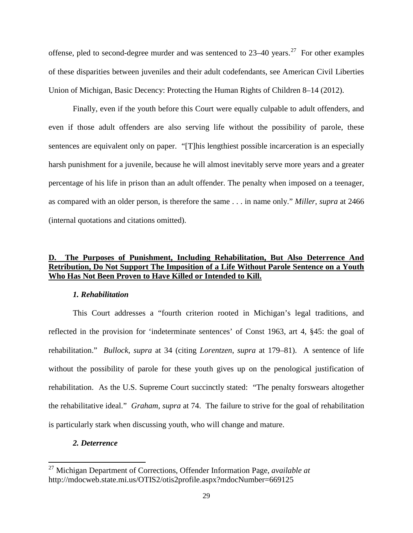offense, pled to second-degree murder and was sentenced to  $23-40$  years.<sup>[27](#page-36-0)</sup> For other examples of these disparities between juveniles and their adult codefendants, see American Civil Liberties Union of Michigan, Basic Decency: Protecting the Human Rights of Children 8–14 (2012).

Finally, even if the youth before this Court were equally culpable to adult offenders, and even if those adult offenders are also serving life without the possibility of parole, these sentences are equivalent only on paper. "[T]his lengthiest possible incarceration is an especially harsh punishment for a juvenile, because he will almost inevitably serve more years and a greater percentage of his life in prison than an adult offender. The penalty when imposed on a teenager, as compared with an older person, is therefore the same . . . in name only." *Miller*, *supra* at 2466 (internal quotations and citations omitted).

### **D. The Purposes of Punishment, Including Rehabilitation, But Also Deterrence And Retribution, Do Not Support The Imposition of a Life Without Parole Sentence on a Youth Who Has Not Been Proven to Have Killed or Intended to Kill.**

#### *1. Rehabilitation*

This Court addresses a "fourth criterion rooted in Michigan's legal traditions, and reflected in the provision for 'indeterminate sentences' of Const 1963, art 4, §45: the goal of rehabilitation." *Bullock*, *supra* at 34 (citing *Lorentzen*, *supra* at 179–81). A sentence of life without the possibility of parole for these youth gives up on the penological justification of rehabilitation. As the U.S. Supreme Court succinctly stated: "The penalty forswears altogether the rehabilitative ideal." *Graham*, *supra* at 74. The failure to strive for the goal of rehabilitation is particularly stark when discussing youth, who will change and mature.

#### *2. Deterrence*

<span id="page-36-0"></span><sup>27</sup> Michigan Department of Corrections, Offender Information Page, *available at* http://mdocweb.state.mi.us/OTIS2/otis2profile.aspx?mdocNumber=669125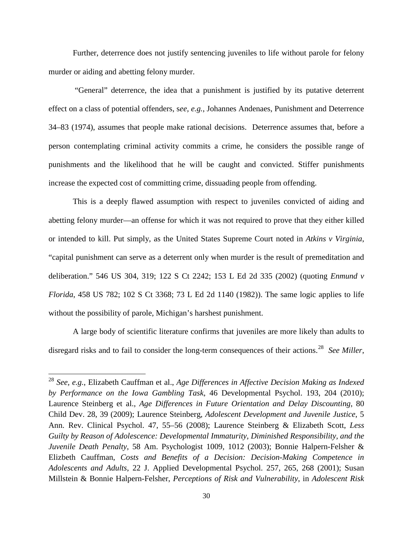Further, deterrence does not justify sentencing juveniles to life without parole for felony murder or aiding and abetting felony murder.

"General" deterrence, the idea that a punishment is justified by its putative deterrent effect on a class of potential offenders, s*ee, e.g.*, Johannes Andenaes, Punishment and Deterrence 34–83 (1974), assumes that people make rational decisions. Deterrence assumes that, before a person contemplating criminal activity commits a crime, he considers the possible range of punishments and the likelihood that he will be caught and convicted. Stiffer punishments increase the expected cost of committing crime, dissuading people from offending.

This is a deeply flawed assumption with respect to juveniles convicted of aiding and abetting felony murder—an offense for which it was not required to prove that they either killed or intended to kill. Put simply, as the United States Supreme Court noted in *Atkins v Virginia*, "capital punishment can serve as a deterrent only when murder is the result of premeditation and deliberation." 546 US 304, 319; 122 S Ct 2242; 153 L Ed 2d 335 (2002) (quoting *Enmund v Florida*, 458 US 782; 102 S Ct 3368; 73 L Ed 2d 1140 (1982)). The same logic applies to life without the possibility of parole, Michigan's harshest punishment.

<span id="page-37-0"></span>A large body of scientific literature confirms that juveniles are more likely than adults to disregard risks and to fail to consider the long-term consequences of their actions.[28](#page-37-1) *See Miller*,

<span id="page-37-1"></span><sup>28</sup> *See, e.g.*, Elizabeth Cauffman et al., *Age Differences in Affective Decision Making as Indexed by Performance on the Iowa Gambling Task*, 46 Developmental Psychol. 193, 204 (2010); Laurence Steinberg et al., *Age Differences in Future Orientation and Delay Discounting*, 80 Child Dev. 28, 39 (2009); Laurence Steinberg, *Adolescent Development and Juvenile Justice*, 5 Ann. Rev. Clinical Psychol. 47, 55–56 (2008); Laurence Steinberg & Elizabeth Scott, *Less Guilty by Reason of Adolescence: Developmental Immaturity, Diminished Responsibility, and the Juvenile Death Penalty*, 58 Am. Psychologist 1009, 1012 (2003); Bonnie Halpern-Felsher & Elizbeth Cauffman, *Costs and Benefits of a Decision: Decision-Making Competence in Adolescents and Adults*, 22 J. Applied Developmental Psychol. 257, 265, 268 (2001); Susan Millstein & Bonnie Halpern-Felsher, *Perceptions of Risk and Vulnerability*, in *Adolescent Risk*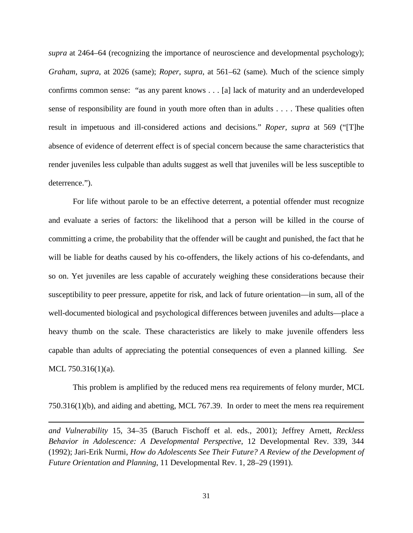*supra* at 2464–64 (recognizing the importance of neuroscience and developmental psychology); *Graham*, *supra*, at 2026 (same); *Roper*, *supra*, at 561–62 (same). Much of the science simply confirms common sense: "as any parent knows . . . [a] lack of maturity and an underdeveloped sense of responsibility are found in youth more often than in adults . . . . These qualities often result in impetuous and ill-considered actions and decisions." *Roper, supra* at 569 ("[T]he absence of evidence of deterrent effect is of special concern because the same characteristics that render juveniles less culpable than adults suggest as well that juveniles will be less susceptible to deterrence.").

For life without parole to be an effective deterrent, a potential offender must recognize and evaluate a series of factors: the likelihood that a person will be killed in the course of committing a crime, the probability that the offender will be caught and punished, the fact that he will be liable for deaths caused by his co-offenders, the likely actions of his co-defendants, and so on. Yet juveniles are less capable of accurately weighing these considerations because their susceptibility to peer pressure, appetite for risk, and lack of future orientation—in sum, all of the well-documented biological and psychological differences between juveniles and adults—place a heavy thumb on the scale. These characteristics are likely to make juvenile offenders less capable than adults of appreciating the potential consequences of even a planned killing. *See* MCL 750.316(1)(a).

This problem is amplified by the reduced mens rea requirements of felony murder, MCL 750.316(1)(b), and aiding and abetting, MCL 767.39. In order to meet the mens rea requirement

l

*and Vulnerability* 15, 34–35 (Baruch Fischoff et al. eds., 2001); Jeffrey Arnett, *Reckless Behavior in Adolescence: A Developmental Perspective*, 12 Developmental Rev. 339, 344 (1992); Jari-Erik Nurmi, *How do Adolescents See Their Future? A Review of the Development of Future Orientation and Planning*, 11 Developmental Rev. 1, 28–29 (1991).

31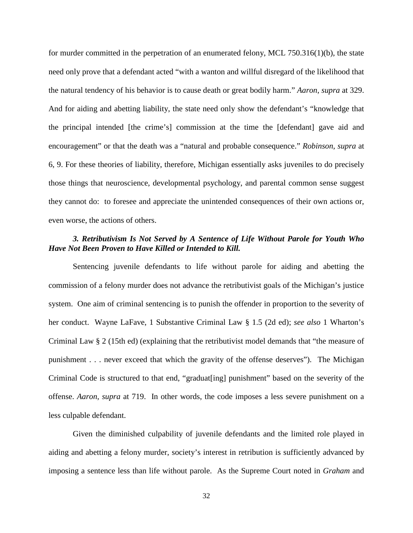for murder committed in the perpetration of an enumerated felony, MCL 750.316(1)(b), the state need only prove that a defendant acted "with a wanton and willful disregard of the likelihood that the natural tendency of his behavior is to cause death or great bodily harm." *Aaron*, *supra* at 329. And for aiding and abetting liability, the state need only show the defendant's "knowledge that the principal intended [the crime's] commission at the time the [defendant] gave aid and encouragement" or that the death was a "natural and probable consequence." *Robinson*, *supra* at 6, 9. For these theories of liability, therefore, Michigan essentially asks juveniles to do precisely those things that neuroscience, developmental psychology, and parental common sense suggest they cannot do: to foresee and appreciate the unintended consequences of their own actions or, even worse, the actions of others.

#### *3. Retributivism Is Not Served by A Sentence of Life Without Parole for Youth Who Have Not Been Proven to Have Killed or Intended to Kill.*

Sentencing juvenile defendants to life without parole for aiding and abetting the commission of a felony murder does not advance the retributivist goals of the Michigan's justice system. One aim of criminal sentencing is to punish the offender in proportion to the severity of her conduct. Wayne LaFave, 1 Substantive Criminal Law § 1.5 (2d ed); *see also* 1 Wharton's Criminal Law § 2 (15th ed) (explaining that the retributivist model demands that "the measure of punishment . . . never exceed that which the gravity of the offense deserves"). The Michigan Criminal Code is structured to that end, "graduat[ing] punishment" based on the severity of the offense. *Aaron*, *supra* at 719. In other words, the code imposes a less severe punishment on a less culpable defendant.

Given the diminished culpability of juvenile defendants and the limited role played in aiding and abetting a felony murder, society's interest in retribution is sufficiently advanced by imposing a sentence less than life without parole. As the Supreme Court noted in *Graham* and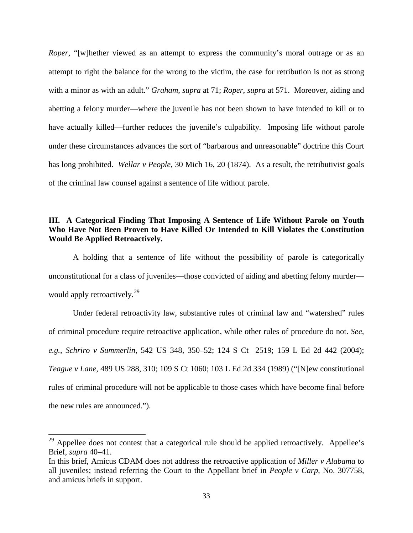*Roper*, "[w]hether viewed as an attempt to express the community's moral outrage or as an attempt to right the balance for the wrong to the victim, the case for retribution is not as strong with a minor as with an adult." *Graham*, *supra* at 71; *Roper*, *supra* at 571. Moreover, aiding and abetting a felony murder—where the juvenile has not been shown to have intended to kill or to have actually killed—further reduces the juvenile's culpability. Imposing life without parole under these circumstances advances the sort of "barbarous and unreasonable" doctrine this Court has long prohibited. *Wellar v People*, 30 Mich 16, 20 (1874). As a result, the retributivist goals of the criminal law counsel against a sentence of life without parole.

### **III. A Categorical Finding That Imposing A Sentence of Life Without Parole on Youth Who Have Not Been Proven to Have Killed Or Intended to Kill Violates the Constitution Would Be Applied Retroactively.**

A holding that a sentence of life without the possibility of parole is categorically unconstitutional for a class of juveniles—those convicted of aiding and abetting felony murder— would apply retroactively.<sup>[29](#page-40-0)</sup>

Under federal retroactivity law, substantive rules of criminal law and "watershed" rules of criminal procedure require retroactive application, while other rules of procedure do not. *See, e.g.*, *Schriro v Summerlin*, 542 US 348, 350–52; 124 S Ct 2519; 159 L Ed 2d 442 (2004); *Teague v Lane*, 489 US 288, 310; 109 S Ct 1060; 103 L Ed 2d 334 (1989) ("[N]ew constitutional rules of criminal procedure will not be applicable to those cases which have become final before the new rules are announced.").

<span id="page-40-0"></span> $29$  Appellee does not contest that a categorical rule should be applied retroactively. Appellee's Brief, *supra* 40–41.

In this brief, Amicus CDAM does not address the retroactive application of *Miller v Alabama* to all juveniles; instead referring the Court to the Appellant brief in *People v Carp*, No. 307758, and amicus briefs in support.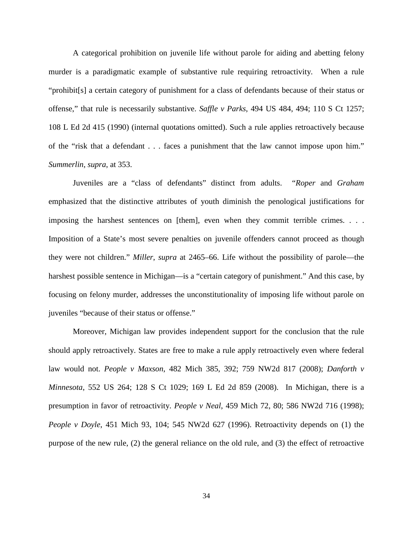A categorical prohibition on juvenile life without parole for aiding and abetting felony murder is a paradigmatic example of substantive rule requiring retroactivity. When a rule "prohibit[s] a certain category of punishment for a class of defendants because of their status or offense," that rule is necessarily substantive. *Saffle v Parks*, 494 US 484, 494; 110 S Ct 1257; 108 L Ed 2d 415 (1990) (internal quotations omitted). Such a rule applies retroactively because of the "risk that a defendant . . . faces a punishment that the law cannot impose upon him." *Summerlin*, *supra*, at 353.

Juveniles are a "class of defendants" distinct from adults. "*Roper* and *Graham* emphasized that the distinctive attributes of youth diminish the penological justifications for imposing the harshest sentences on [them], even when they commit terrible crimes. . . . Imposition of a State's most severe penalties on juvenile offenders cannot proceed as though they were not children." *Miller*, *supra* at 2465–66. Life without the possibility of parole—the harshest possible sentence in Michigan—is a "certain category of punishment." And this case, by focusing on felony murder, addresses the unconstitutionality of imposing life without parole on juveniles "because of their status or offense."

Moreover, Michigan law provides independent support for the conclusion that the rule should apply retroactively. States are free to make a rule apply retroactively even where federal law would not. *People v Maxson*, 482 Mich 385, 392; 759 NW2d 817 (2008); *Danforth v Minnesota*, 552 US 264; 128 S Ct 1029; 169 L Ed 2d 859 (2008). In Michigan, there is a presumption in favor of retroactivity. *People v Neal*, 459 Mich 72, 80; 586 NW2d 716 (1998); *People v Doyle*, 451 Mich 93, 104; 545 NW2d 627 (1996). Retroactivity depends on (1) the purpose of the new rule, (2) the general reliance on the old rule, and (3) the effect of retroactive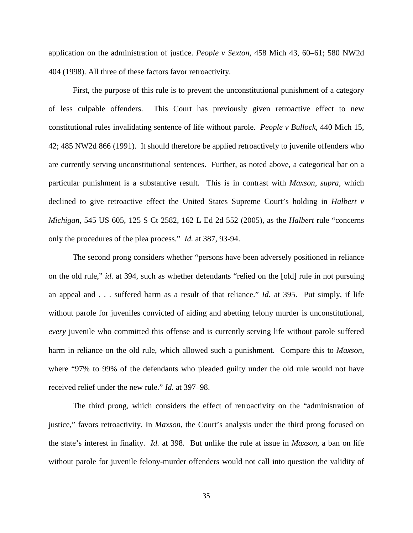application on the administration of justice. *People v Sexton*, 458 Mich 43, 60–61; 580 NW2d 404 (1998). All three of these factors favor retroactivity.

First, the purpose of this rule is to prevent the unconstitutional punishment of a category of less culpable offenders. This Court has previously given retroactive effect to new constitutional rules invalidating sentence of life without parole. *People v Bullock*, 440 Mich 15, 42; 485 NW2d 866 (1991). It should therefore be applied retroactively to juvenile offenders who are currently serving unconstitutional sentences. Further, as noted above, a categorical bar on a particular punishment is a substantive result. This is in contrast with *Maxson*, *supra*, which declined to give retroactive effect the United States Supreme Court's holding in *Halbert v Michigan,* 545 US 605, 125 S Ct 2582, 162 L Ed 2d 552 (2005), as the *Halbert* rule "concerns only the procedures of the plea process." *Id.* at 387, 93-94.

The second prong considers whether "persons have been adversely positioned in reliance on the old rule," *id*. at 394, such as whether defendants "relied on the [old] rule in not pursuing an appeal and . . . suffered harm as a result of that reliance." *Id.* at 395. Put simply, if life without parole for juveniles convicted of aiding and abetting felony murder is unconstitutional, *every* juvenile who committed this offense and is currently serving life without parole suffered harm in reliance on the old rule, which allowed such a punishment. Compare this to *Maxson*, where "97% to 99% of the defendants who pleaded guilty under the old rule would not have received relief under the new rule." *Id.* at 397–98.

The third prong, which considers the effect of retroactivity on the "administration of justice," favors retroactivity. In *Maxson*, the Court's analysis under the third prong focused on the state's interest in finality. *Id.* at 398. But unlike the rule at issue in *Maxson*, a ban on life without parole for juvenile felony-murder offenders would not call into question the validity of